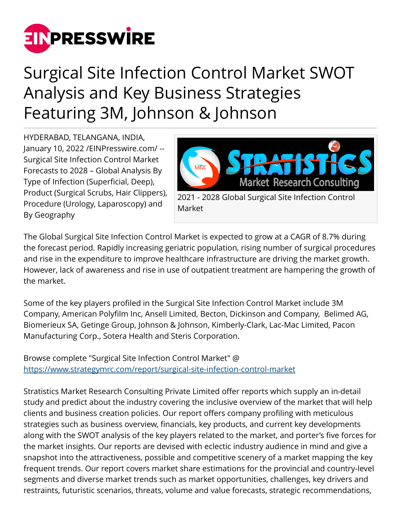

## Surgical Site Infection Control Market SWOT Analysis and Key Business Strategies Featuring 3M, Johnson & Johnson

HYDERABAD, TELANGANA, INDIA, January 10, 2022 /[EINPresswire.com](http://www.einpresswire.com)/ -- Surgical Site Infection Control Market Forecasts to 2028 – Global Analysis By Type of Infection (Superficial, Deep), Product (Surgical Scrubs, Hair Clippers), Procedure (Urology, Laparoscopy) and By Geography



Market

The Global Surgical Site Infection Control Market is expected to grow at a CAGR of 8.7% during the forecast period. Rapidly increasing geriatric population, rising number of surgical procedures and rise in the expenditure to improve healthcare infrastructure are driving the market growth. However, lack of awareness and rise in use of outpatient treatment are hampering the growth of the market.

Some of the key players profiled in the Surgical Site Infection Control Market include 3M Company, American Polyfilm Inc, Ansell Limited, Becton, Dickinson and Company, Belimed AG, Biomerieux SA, Getinge Group, Johnson & Johnson, Kimberly-Clark, Lac-Mac Limited, Pacon Manufacturing Corp., Sotera Health and Steris Corporation.

Browse complete "Surgical Site Infection Control Market" @ <https://www.strategymrc.com/report/surgical-site-infection-control-market>

Stratistics Market Research Consulting Private Limited offer reports which supply an in-detail study and predict about the industry covering the inclusive overview of the market that will help clients and business creation policies. Our report offers company profiling with meticulous strategies such as business overview, financials, key products, and current key developments along with the SWOT analysis of the key players related to the market, and porter's five forces for the market insights. Our reports are devised with eclectic industry audience in mind and give a snapshot into the attractiveness, possible and competitive scenery of a market mapping the key frequent trends. Our report covers market share estimations for the provincial and country-level segments and diverse market trends such as market opportunities, challenges, key drivers and restraints, futuristic scenarios, threats, volume and value forecasts, strategic recommendations,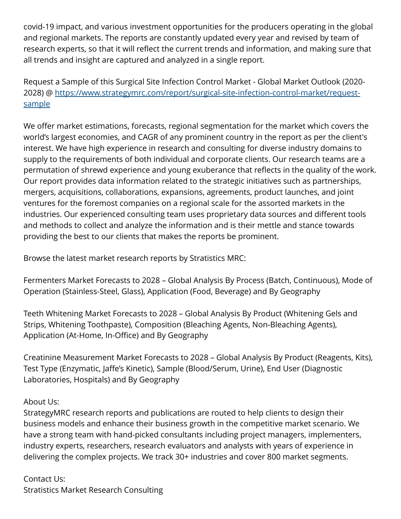covid-19 impact, and various investment opportunities for the producers operating in the global and regional markets. The reports are constantly updated every year and revised by team of research experts, so that it will reflect the current trends and information, and making sure that all trends and insight are captured and analyzed in a single report.

Request a Sample of this Surgical Site Infection Control Market - Global Market Outlook (2020- 2028) @ [https://www.strategymrc.com/report/surgical-site-infection-control-market/request](https://www.strategymrc.com/report/surgical-site-infection-control-market/request-sample)[sample](https://www.strategymrc.com/report/surgical-site-infection-control-market/request-sample)

We offer market estimations, forecasts, regional segmentation for the market which covers the world's largest economies, and CAGR of any prominent country in the report as per the client's interest. We have high experience in research and consulting for diverse industry domains to supply to the requirements of both individual and corporate clients. Our research teams are a permutation of shrewd experience and young exuberance that reflects in the quality of the work. Our report provides data information related to the strategic initiatives such as partnerships, mergers, acquisitions, collaborations, expansions, agreements, product launches, and joint ventures for the foremost companies on a regional scale for the assorted markets in the industries. Our experienced consulting team uses proprietary data sources and different tools and methods to collect and analyze the information and is their mettle and stance towards providing the best to our clients that makes the reports be prominent.

Browse the latest market research reports by Stratistics MRC:

Fermenters Market Forecasts to 2028 – Global Analysis By Process (Batch, Continuous), Mode of Operation (Stainless-Steel, Glass), Application (Food, Beverage) and By Geography

Teeth Whitening Market Forecasts to 2028 – Global Analysis By Product (Whitening Gels and Strips, Whitening Toothpaste), Composition (Bleaching Agents, Non-Bleaching Agents), Application (At-Home, In-Office) and By Geography

Creatinine Measurement Market Forecasts to 2028 – Global Analysis By Product (Reagents, Kits), Test Type (Enzymatic, Jaffe's Kinetic), Sample (Blood/Serum, Urine), End User (Diagnostic Laboratories, Hospitals) and By Geography

## About Us:

StrategyMRC research reports and publications are routed to help clients to design their business models and enhance their business growth in the competitive market scenario. We have a strong team with hand-picked consultants including project managers, implementers, industry experts, researchers, research evaluators and analysts with years of experience in delivering the complex projects. We track 30+ industries and cover 800 market segments.

Contact Us: Stratistics Market Research Consulting